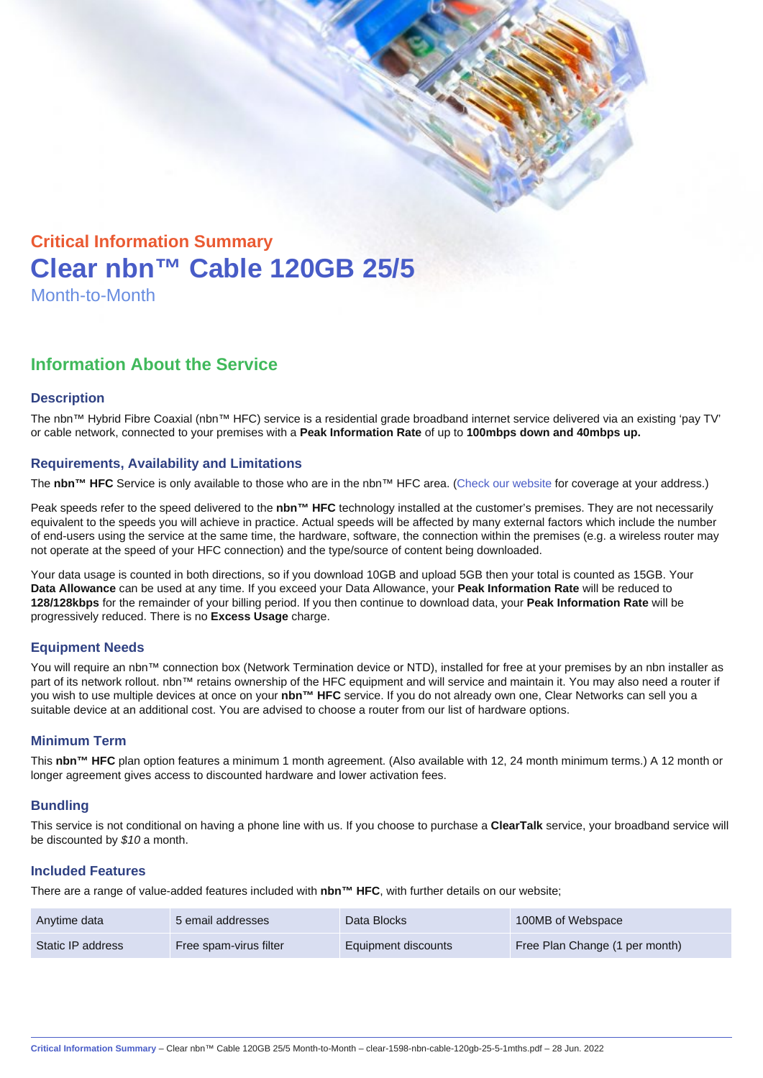# Critical Information Summary Clear nbn™ Cable 120GB 25/5 Month-to-Month

## Information About the Service

#### **Description**

The nbn™ Hybrid Fibre Coaxial (nbn™ HFC) service is a residential grade broadband internet service delivered via an existing 'pay TV' or cable network, connected to your premises with a Peak Information Rate of up to 100mbps down and 40mbps up.

#### Requirements, Availability and Limitations

The nbn™ HFC Service is only available to those who are in the nbn™ HFC area. ([Check our website](https://www.clear.com.au/residential/nbn-fixed/) for coverage at your address.)

Peak speeds refer to the speed delivered to the nbn™ HFC technology installed at the customer's premises. They are not necessarily equivalent to the speeds you will achieve in practice. Actual speeds will be affected by many external factors which include the number of end-users using the service at the same time, the hardware, software, the connection within the premises (e.g. a wireless router may not operate at the speed of your HFC connection) and the type/source of content being downloaded.

Your data usage is counted in both directions, so if you download 10GB and upload 5GB then your total is counted as 15GB. Your Data Allowance can be used at any time. If you exceed your Data Allowance, your Peak Information Rate will be reduced to 128/128kbps for the remainder of your billing period. If you then continue to download data, your Peak Information Rate will be progressively reduced. There is no Excess Usage charge.

#### Equipment Needs

You will require an nbn™ connection box (Network Termination device or NTD), installed for free at your premises by an nbn installer as part of its network rollout. nbn™ retains ownership of the HFC equipment and will service and maintain it. You may also need a router if you wish to use multiple devices at once on your nbn™ HFC service. If you do not already own one, Clear Networks can sell you a suitable device at an additional cost. You are advised to choose a router from our list of hardware options.

#### Minimum Term

This nbn™ HFC plan option features a minimum 1 month agreement. (Also available with 12, 24 month minimum terms.) A 12 month or longer agreement gives access to discounted hardware and lower activation fees.

#### **Bundling**

This service is not conditional on having a phone line with us. If you choose to purchase a ClearTalk service, your broadband service will be discounted by \$10 a month.

#### Included Features

There are a range of value-added features included with nbn™ HFC , with further details on our website;

| Anytime data      | 5 email addresses      | Data Blocks         | 100MB of Webspace              |
|-------------------|------------------------|---------------------|--------------------------------|
| Static IP address | Free spam-virus filter | Equipment discounts | Free Plan Change (1 per month) |